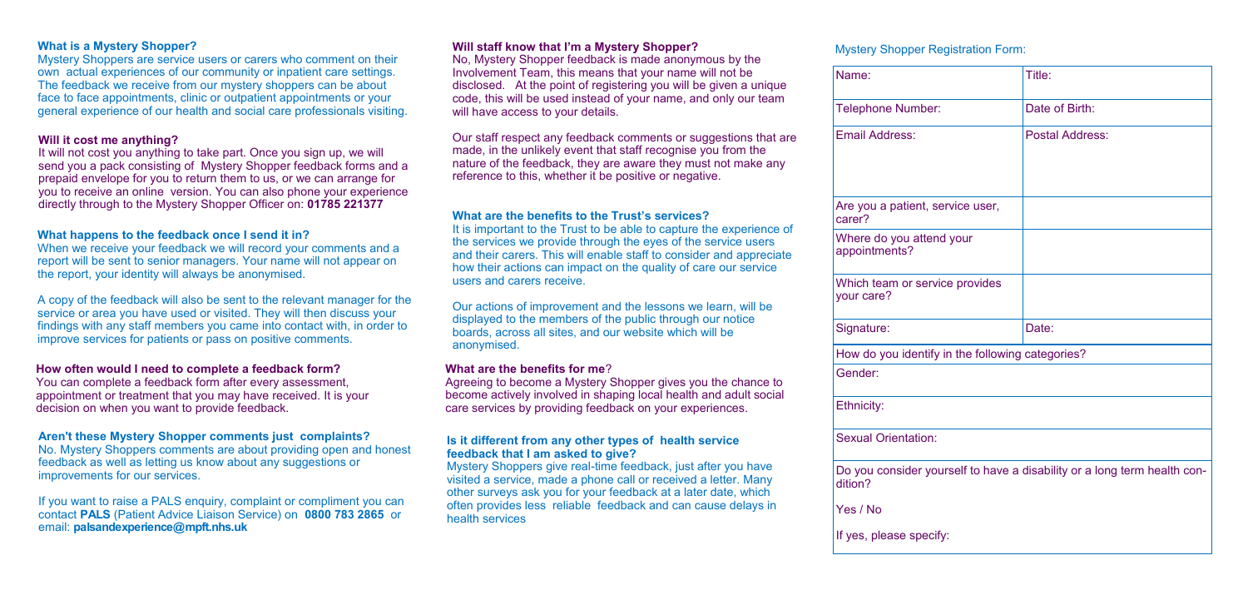#### **What is a Mystery Shopper?**

Mystery Shoppers are service users or carers who comment on their own actual experiences of our community or inpatient care settings. The feedback we receive from our mystery shoppers can be about face to face appointments, clinic or outpatient appointments or your general experience of our health and social care professionals visiting.

#### **Will it cost me anything?**

When we receive your feedback we will record your comments and a report will be sent to senior managers. Your name will not appear on the report, your identity will always be anonymised.

It will not cost you anything to take part. Once you sign up, we will send you a pack consisting of Mystery Shopper feedback forms and a prepaid envelope for you to return them to us, or we can arrange for you to receive an online version. You can also phone your experience directly through to the Mystery Shopper Officer on: **01785 221377**

#### **What happens to the feedback once I send it in?**

If you want to raise a PALS enquiry, complaint or compliment you can contact **PALS** (Patient Advice Liaison Service) on **0800 783 2865** or email: **[palsandexperience@mpft.nhs.uk](mailto:palsandexperience@mpft.nhs.uk)**

No, Mystery Shopper feedback is made anonymous by the Involvement Team, this means that your name will not be disclosed. At the point of registering you will be given a unique code, this will be used instead of your name, and only our team will have access to your details.

A copy of the feedback will also be sent to the relevant manager for the service or area you have used or visited. They will then discuss your findings with any staff members you came into contact with, in order to improve services for patients or pass on positive comments.

#### **How often would I need to complete a feedback form?**

You can complete a feedback form after every assessment, appointment or treatment that you may have received. It is your decision on when you want to provide feedback.

# **Aren't these Mystery Shopper comments just complaints?**

No. Mystery Shoppers comments are about providing open and honest feedback as well as letting us know about any suggestions or improvements for our services.

Are you a patient, and carer?

Where  $do \vee$ appointmen

# **Will staff know that I'm a Mystery Shopper?**

**Which tean** your care?

Signature:

How do you

Our staff respect any feedback comments or suggestions that are made, in the unlikely event that staff recognise you from the nature of the feedback, they are aware they must not make any reference to this, whether it be positive or negative.

# **What are the benefits to the Trust's services?**

It is important to the Trust to be able to capture the experience of the services we provide through the eyes of the service users and their carers. This will enable staff to consider and appreciate how their actions can impact on the quality of care our service users and carers receive.

Our actions of improvement and the lessons we learn, will be displayed to the members of the public through our notice boards, across all sites, and our website which will be anonymised.

## **What are the benefits for me**?

Agreeing to become a Mystery Shopper gives you the chance to become actively involved in shaping local health and adult social care services by providing feedback on your experiences.

#### **Is it different from any other types of health service feedback that I am asked to give?**

Mystery Shoppers give real-time feedback, just after you have visited a service, made a phone call or received a letter. Many other surveys ask you for your feedback at a later date, which often provides less reliable feedback and can cause delays in health services

## Mystery Shopper Registration Form:

Name:

Telephone

Email Addr

Gender:

Ethnicity:

Sexual Orie

Do you con dition?

Yes / No

If yes, pleas

|                                                                 | Title:                 |
|-----------------------------------------------------------------|------------------------|
| Number:                                                         | Date of Birth:         |
| ess:                                                            | <b>Postal Address:</b> |
|                                                                 |                        |
| patient, service user,                                          |                        |
| you attend your<br>nts?                                         |                        |
| n or service provides                                           |                        |
|                                                                 | Date:                  |
| u identify in the following categories?                         |                        |
|                                                                 |                        |
|                                                                 |                        |
| entation:                                                       |                        |
| isider yourself to have a disability or a long term health con- |                        |
|                                                                 |                        |
| se specify:                                                     |                        |